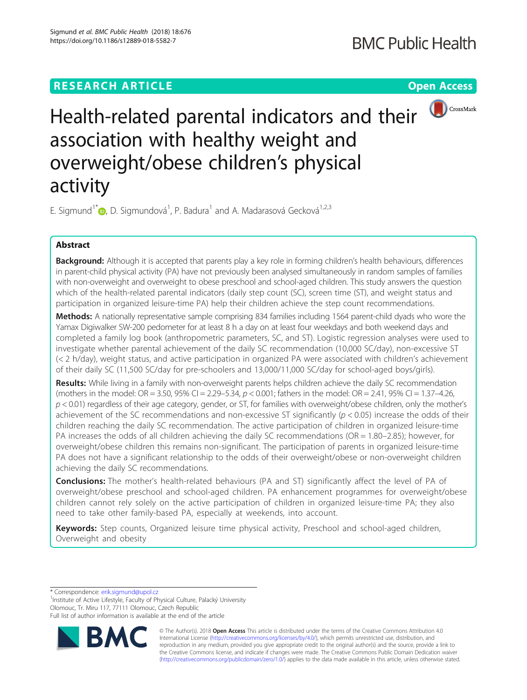

Health-related parental indicators and their  $\bigcirc$  CrossMark association with healthy weight and overweight/obese children's physical activity

E. Sigmund<sup>1\*</sup> (b[,](http://orcid.org/0000-0002-5643-5586) D. Sigmundová<sup>1</sup>, P. Badura<sup>1</sup> and A. Madarasová Gecková<sup>1,2,3</sup>

# Abstract

Background: Although it is accepted that parents play a key role in forming children's health behaviours, differences in parent-child physical activity (PA) have not previously been analysed simultaneously in random samples of families with non-overweight and overweight to obese preschool and school-aged children. This study answers the question which of the health-related parental indicators (daily step count (SC), screen time (ST), and weight status and participation in organized leisure-time PA) help their children achieve the step count recommendations.

Methods: A nationally representative sample comprising 834 families including 1564 parent-child dyads who wore the Yamax Digiwalker SW-200 pedometer for at least 8 h a day on at least four weekdays and both weekend days and completed a family log book (anthropometric parameters, SC, and ST). Logistic regression analyses were used to investigate whether parental achievement of the daily SC recommendation (10,000 SC/day), non-excessive ST (< 2 h/day), weight status, and active participation in organized PA were associated with children's achievement of their daily SC (11,500 SC/day for pre-schoolers and 13,000/11,000 SC/day for school-aged boys/girls).

Results: While living in a family with non-overweight parents helps children achieve the daily SC recommendation (mothers in the model: OR = 3.50, 95% CI = 2.29–5.34,  $p < 0.001$ ; fathers in the model: OR = 2.41, 95% CI = 1.37–4.26,  $p$  < 0.01) regardless of their age category, gender, or ST, for families with overweight/obese children, only the mother's achievement of the SC recommendations and non-excessive ST significantly  $(p < 0.05)$  increase the odds of their children reaching the daily SC recommendation. The active participation of children in organized leisure-time PA increases the odds of all children achieving the daily SC recommendations (OR = 1.80–2.85); however, for overweight/obese children this remains non-significant. The participation of parents in organized leisure-time PA does not have a significant relationship to the odds of their overweight/obese or non-overweight children achieving the daily SC recommendations.

Conclusions: The mother's health-related behaviours (PA and ST) significantly affect the level of PA of overweight/obese preschool and school-aged children. PA enhancement programmes for overweight/obese children cannot rely solely on the active participation of children in organized leisure-time PA; they also need to take other family-based PA, especially at weekends, into account.

Keywords: Step counts, Organized leisure time physical activity, Preschool and school-aged children, Overweight and obesity

\* Correspondence: [erik.sigmund@upol.cz](mailto:erik.sigmund@upol.cz) <sup>1</sup>

<sup>1</sup>Institute of Active Lifestyle, Faculty of Physical Culture, Palacký University Olomouc, Tr. Miru 117, 77111 Olomouc, Czech Republic

Full list of author information is available at the end of the article



© The Author(s). 2018 Open Access This article is distributed under the terms of the Creative Commons Attribution 4.0 International License [\(http://creativecommons.org/licenses/by/4.0/](http://creativecommons.org/licenses/by/4.0/)), which permits unrestricted use, distribution, and reproduction in any medium, provided you give appropriate credit to the original author(s) and the source, provide a link to the Creative Commons license, and indicate if changes were made. The Creative Commons Public Domain Dedication waiver [\(http://creativecommons.org/publicdomain/zero/1.0/](http://creativecommons.org/publicdomain/zero/1.0/)) applies to the data made available in this article, unless otherwise stated.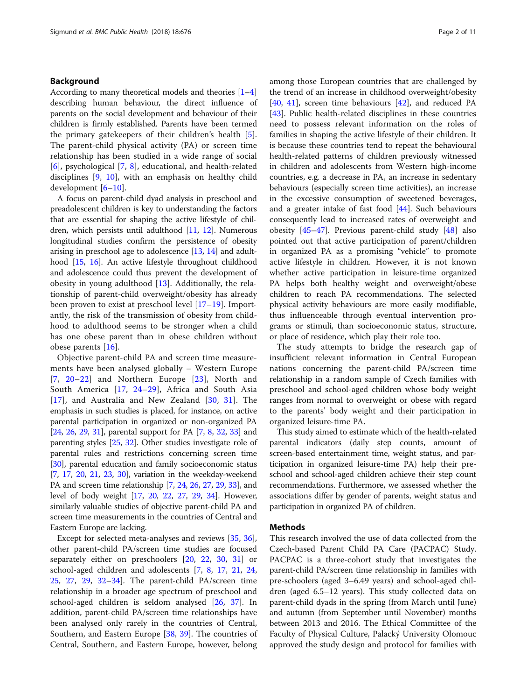# Background

According to many theoretical models and theories [[1](#page-9-0)–[4](#page-9-0)] describing human behaviour, the direct influence of parents on the social development and behaviour of their children is firmly established. Parents have been termed the primary gatekeepers of their children's health [\[5](#page-9-0)]. The parent-child physical activity (PA) or screen time relationship has been studied in a wide range of social [[6\]](#page-9-0), psychological [\[7](#page-9-0), [8\]](#page-9-0), educational, and health-related disciplines [[9,](#page-9-0) [10\]](#page-9-0), with an emphasis on healthy child development [[6](#page-9-0)–[10\]](#page-9-0).

A focus on parent-child dyad analysis in preschool and preadolescent children is key to understanding the factors that are essential for shaping the active lifestyle of children, which persists until adulthood [\[11,](#page-9-0) [12\]](#page-9-0). Numerous longitudinal studies confirm the persistence of obesity arising in preschool age to adolescence [\[13,](#page-9-0) [14](#page-9-0)] and adulthood [\[15,](#page-9-0) [16](#page-9-0)]. An active lifestyle throughout childhood and adolescence could thus prevent the development of obesity in young adulthood  $[13]$  $[13]$ . Additionally, the relationship of parent-child overweight/obesity has already been proven to exist at preschool level [[17](#page-9-0)–[19\]](#page-9-0). Importantly, the risk of the transmission of obesity from childhood to adulthood seems to be stronger when a child has one obese parent than in obese children without obese parents [[16\]](#page-9-0).

Objective parent-child PA and screen time measurements have been analysed globally – Western Europe [[7](#page-9-0), [20](#page-9-0)–[22\]](#page-9-0) and Northern Europe [[23](#page-9-0)], North and South America [\[17](#page-9-0), [24](#page-9-0)–[29](#page-9-0)], Africa and South Asia [[17](#page-9-0)], and Australia and New Zealand [[30](#page-9-0), [31](#page-9-0)]. The emphasis in such studies is placed, for instance, on active parental participation in organized or non-organized PA [[24](#page-9-0), [26](#page-9-0), [29](#page-9-0), [31](#page-9-0)], parental support for PA [[7,](#page-9-0) [8,](#page-9-0) [32,](#page-9-0) [33](#page-9-0)] and parenting styles [\[25](#page-9-0), [32](#page-9-0)]. Other studies investigate role of parental rules and restrictions concerning screen time [[30](#page-9-0)], parental education and family socioeconomic status [[7,](#page-9-0) [17](#page-9-0), [20,](#page-9-0) [21](#page-9-0), [23,](#page-9-0) [30](#page-9-0)], variation in the weekday-weekend PA and screen time relationship [[7,](#page-9-0) [24,](#page-9-0) [26](#page-9-0), [27,](#page-9-0) [29](#page-9-0), [33\]](#page-9-0), and level of body weight [\[17,](#page-9-0) [20](#page-9-0), [22,](#page-9-0) [27](#page-9-0), [29,](#page-9-0) [34](#page-9-0)]. However, similarly valuable studies of objective parent-child PA and screen time measurements in the countries of Central and Eastern Europe are lacking.

Except for selected meta-analyses and reviews [\[35](#page-9-0), [36](#page-9-0)], other parent-child PA/screen time studies are focused separately either on preschoolers [\[20](#page-9-0), [22,](#page-9-0) [30,](#page-9-0) [31\]](#page-9-0) or school-aged children and adolescents [\[7](#page-9-0), [8,](#page-9-0) [17](#page-9-0), [21,](#page-9-0) [24](#page-9-0), [25,](#page-9-0) [27](#page-9-0), [29](#page-9-0), [32](#page-9-0)–[34\]](#page-9-0). The parent-child PA/screen time relationship in a broader age spectrum of preschool and school-aged children is seldom analysed [[26](#page-9-0), [37](#page-9-0)]. In addition, parent-child PA/screen time relationships have been analysed only rarely in the countries of Central, Southern, and Eastern Europe [[38,](#page-9-0) [39\]](#page-10-0). The countries of Central, Southern, and Eastern Europe, however, belong among those European countries that are challenged by the trend of an increase in childhood overweight/obesity [[40,](#page-10-0) [41](#page-10-0)], screen time behaviours [[42\]](#page-10-0), and reduced PA [[43\]](#page-10-0). Public health-related disciplines in these countries need to possess relevant information on the roles of families in shaping the active lifestyle of their children. It is because these countries tend to repeat the behavioural health-related patterns of children previously witnessed in children and adolescents from Western high-income countries, e.g. a decrease in PA, an increase in sedentary behaviours (especially screen time activities), an increase in the excessive consumption of sweetened beverages, and a greater intake of fast food [[44\]](#page-10-0). Such behaviours consequently lead to increased rates of overweight and obesity [[45](#page-10-0)–[47](#page-10-0)]. Previous parent-child study [\[48](#page-10-0)] also pointed out that active participation of parent/children in organized PA as a promising "vehicle" to promote active lifestyle in children. However, it is not known whether active participation in leisure-time organized PA helps both healthy weight and overweight/obese children to reach PA recommendations. The selected physical activity behaviours are more easily modifiable, thus influenceable through eventual intervention programs or stimuli, than socioeconomic status, structure, or place of residence, which play their role too.

The study attempts to bridge the research gap of insufficient relevant information in Central European nations concerning the parent-child PA/screen time relationship in a random sample of Czech families with preschool and school-aged children whose body weight ranges from normal to overweight or obese with regard to the parents' body weight and their participation in organized leisure-time PA.

This study aimed to estimate which of the health-related parental indicators (daily step counts, amount of screen-based entertainment time, weight status, and participation in organized leisure-time PA) help their preschool and school-aged children achieve their step count recommendations. Furthermore, we assessed whether the associations differ by gender of parents, weight status and participation in organized PA of children.

# Methods

This research involved the use of data collected from the Czech-based Parent Child PA Care (PACPAC) Study. PACPAC is a three-cohort study that investigates the parent-child PA/screen time relationship in families with pre-schoolers (aged 3–6.49 years) and school-aged children (aged 6.5–12 years). This study collected data on parent-child dyads in the spring (from March until June) and autumn (from September until November) months between 2013 and 2016. The Ethical Committee of the Faculty of Physical Culture, Palacký University Olomouc approved the study design and protocol for families with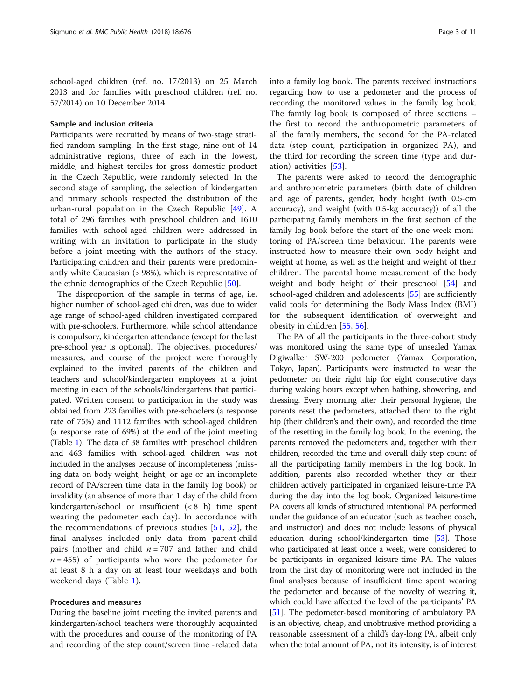school-aged children (ref. no. 17/2013) on 25 March 2013 and for families with preschool children (ref. no. 57/2014) on 10 December 2014.

# Sample and inclusion criteria

Participants were recruited by means of two-stage stratified random sampling. In the first stage, nine out of 14 administrative regions, three of each in the lowest, middle, and highest terciles for gross domestic product in the Czech Republic, were randomly selected. In the second stage of sampling, the selection of kindergarten and primary schools respected the distribution of the urban-rural population in the Czech Republic [\[49](#page-10-0)]. A total of 296 families with preschool children and 1610 families with school-aged children were addressed in writing with an invitation to participate in the study before a joint meeting with the authors of the study. Participating children and their parents were predominantly white Caucasian (> 98%), which is representative of the ethnic demographics of the Czech Republic [\[50\]](#page-10-0).

The disproportion of the sample in terms of age, i.e. higher number of school-aged children, was due to wider age range of school-aged children investigated compared with pre-schoolers. Furthermore, while school attendance is compulsory, kindergarten attendance (except for the last pre-school year is optional). The objectives, procedures/ measures, and course of the project were thoroughly explained to the invited parents of the children and teachers and school/kindergarten employees at a joint meeting in each of the schools/kindergartens that participated. Written consent to participation in the study was obtained from 223 families with pre-schoolers (a response rate of 75%) and 1112 families with school-aged children (a response rate of 69%) at the end of the joint meeting (Table [1\)](#page-3-0). The data of 38 families with preschool children and 463 families with school-aged children was not included in the analyses because of incompleteness (missing data on body weight, height, or age or an incomplete record of PA/screen time data in the family log book) or invalidity (an absence of more than 1 day of the child from kindergarten/school or insufficient (< 8 h) time spent wearing the pedometer each day). In accordance with the recommendations of previous studies [\[51](#page-10-0), [52\]](#page-10-0), the final analyses included only data from parent-child pairs (mother and child  $n = 707$  and father and child  $n = 455$ ) of participants who wore the pedometer for at least 8 h a day on at least four weekdays and both weekend days (Table [1\)](#page-3-0).

# Procedures and measures

During the baseline joint meeting the invited parents and kindergarten/school teachers were thoroughly acquainted with the procedures and course of the monitoring of PA and recording of the step count/screen time -related data into a family log book. The parents received instructions regarding how to use a pedometer and the process of recording the monitored values in the family log book. The family log book is composed of three sections – the first to record the anthropometric parameters of all the family members, the second for the PA-related data (step count, participation in organized PA), and the third for recording the screen time (type and duration) activities [[53\]](#page-10-0).

The parents were asked to record the demographic and anthropometric parameters (birth date of children and age of parents, gender, body height (with 0.5-cm accuracy), and weight (with 0.5-kg accuracy)) of all the participating family members in the first section of the family log book before the start of the one-week monitoring of PA/screen time behaviour. The parents were instructed how to measure their own body height and weight at home, as well as the height and weight of their children. The parental home measurement of the body weight and body height of their preschool [\[54](#page-10-0)] and school-aged children and adolescents [\[55\]](#page-10-0) are sufficiently valid tools for determining the Body Mass Index (BMI) for the subsequent identification of overweight and obesity in children [[55,](#page-10-0) [56](#page-10-0)].

The PA of all the participants in the three-cohort study was monitored using the same type of unsealed Yamax Digiwalker SW-200 pedometer (Yamax Corporation, Tokyo, Japan). Participants were instructed to wear the pedometer on their right hip for eight consecutive days during waking hours except when bathing, showering, and dressing. Every morning after their personal hygiene, the parents reset the pedometers, attached them to the right hip (their children's and their own), and recorded the time of the resetting in the family log book. In the evening, the parents removed the pedometers and, together with their children, recorded the time and overall daily step count of all the participating family members in the log book. In addition, parents also recorded whether they or their children actively participated in organized leisure-time PA during the day into the log book. Organized leisure-time PA covers all kinds of structured intentional PA performed under the guidance of an educator (such as teacher, coach, and instructor) and does not include lessons of physical education during school/kindergarten time [\[53\]](#page-10-0). Those who participated at least once a week, were considered to be participants in organized leisure-time PA. The values from the first day of monitoring were not included in the final analyses because of insufficient time spent wearing the pedometer and because of the novelty of wearing it, which could have affected the level of the participants' PA [[51](#page-10-0)]. The pedometer-based monitoring of ambulatory PA is an objective, cheap, and unobtrusive method providing a reasonable assessment of a child's day-long PA, albeit only when the total amount of PA, not its intensity, is of interest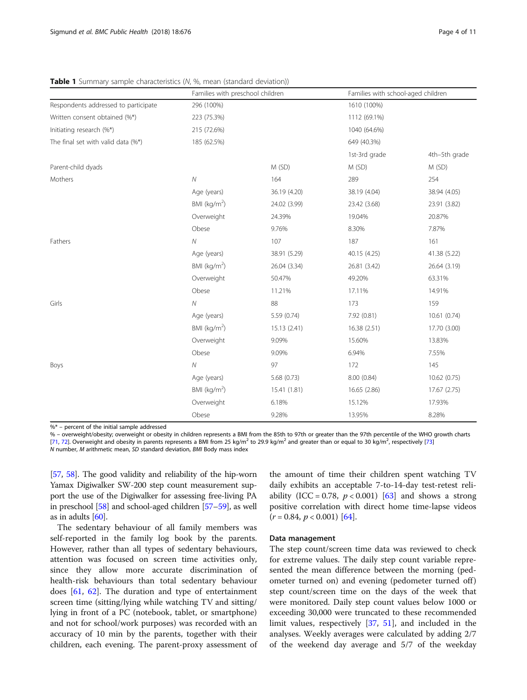|                                      | Families with preschool children |              | Families with school-aged children |               |  |  |
|--------------------------------------|----------------------------------|--------------|------------------------------------|---------------|--|--|
| Respondents addressed to participate | 296 (100%)                       |              | 1610 (100%)                        |               |  |  |
| Written consent obtained (%*)        | 223 (75.3%)                      |              | 1112 (69.1%)                       |               |  |  |
| Initiating research (%*)             | 215 (72.6%)                      |              | 1040 (64.6%)                       |               |  |  |
| The final set with valid data (%*)   | 185 (62.5%)                      |              | 649 (40.3%)                        |               |  |  |
|                                      |                                  |              | 1st-3rd grade                      | 4th-5th grade |  |  |
| Parent-child dyads                   |                                  | M (SD)       | M(SD)                              | M (SD)        |  |  |
| Mothers                              | $\cal N$                         | 164          | 289                                | 254           |  |  |
|                                      | Age (years)                      | 36.19 (4.20) | 38.19 (4.04)                       | 38.94 (4.05)  |  |  |
|                                      | BMI ( $kg/m2$ )                  | 24.02 (3.99) | 23.42 (3.68)                       | 23.91 (3.82)  |  |  |
|                                      | Overweight                       | 24.39%       | 19.04%                             | 20.87%        |  |  |
|                                      | Obese                            | 9.76%        | 8.30%                              | 7.87%         |  |  |
| Fathers                              | ${\cal N}$                       | 107          | 187                                | 161           |  |  |
|                                      | Age (years)                      | 38.91 (5.29) | 40.15 (4.25)                       | 41.38 (5.22)  |  |  |
|                                      | BMI ( $kg/m2$ )                  | 26.04 (3.34) | 26.81 (3.42)                       | 26.64 (3.19)  |  |  |
|                                      | Overweight                       | 50.47%       | 49.20%                             | 63.31%        |  |  |
|                                      | Obese                            | 11.21%       | 17.11%                             | 14.91%        |  |  |
| Girls                                | ${\cal N}$                       | 88           | 173                                | 159           |  |  |
|                                      | Age (years)                      | 5.59 (0.74)  | 7.92 (0.81)                        | 10.61(0.74)   |  |  |
|                                      | BMI $(kq/m2)$                    | 15.13 (2.41) | 16.38 (2.51)                       | 17.70 (3.00)  |  |  |
|                                      | Overweight                       | 9.09%        | 15.60%                             | 13.83%        |  |  |
|                                      | Obese                            | 9.09%        | 6.94%                              | 7.55%         |  |  |
| Boys                                 | $\overline{N}$                   | 97           | 172                                | 145           |  |  |
|                                      | Age (years)                      | 5.68 (0.73)  | 8.00 (0.84)                        | 10.62 (0.75)  |  |  |
|                                      | BMI ( $kg/m2$ )                  | 15.41 (1.81) | 16.65 (2.86)                       | 17.67 (2.75)  |  |  |
|                                      | Overweight                       | 6.18%        | 15.12%                             | 17.93%        |  |  |
|                                      | Obese                            | 9.28%        | 13.95%                             | 8.28%         |  |  |

<span id="page-3-0"></span>**Table 1** Summary sample characteristics (N, %, mean (standard deviation))

 $% *$  – percent of the initial sample addressed

% – overweight/obesity; overweight or obesity in children represents a BMI from the 85th to 97th or greater than the 97th percentile of the WHO growth charts [[71,](#page-10-0) [72](#page-10-0)]. Overweight and obesity in parents represents a BMI from 25 kg/m<sup>2</sup> to 29.9 kg/m<sup>2</sup> and greater than or equal to 30 kg/m<sup>2</sup>, respectively [[73\]](#page-10-0) N number, M arithmetic mean, SD standard deviation, BMI Body mass index

[[57](#page-10-0), [58](#page-10-0)]. The good validity and reliability of the hip-worn Yamax Digiwalker SW-200 step count measurement support the use of the Digiwalker for assessing free-living PA in preschool [\[58\]](#page-10-0) and school-aged children [\[57](#page-10-0)–[59](#page-10-0)], as well as in adults [\[60](#page-10-0)].

The sedentary behaviour of all family members was self-reported in the family log book by the parents. However, rather than all types of sedentary behaviours, attention was focused on screen time activities only, since they allow more accurate discrimination of health-risk behaviours than total sedentary behaviour does [[61,](#page-10-0) [62](#page-10-0)]. The duration and type of entertainment screen time (sitting/lying while watching TV and sitting/ lying in front of a PC (notebook, tablet, or smartphone) and not for school/work purposes) was recorded with an accuracy of 10 min by the parents, together with their children, each evening. The parent-proxy assessment of the amount of time their children spent watching TV daily exhibits an acceptable 7-to-14-day test-retest reliability (ICC = 0.78,  $p < 0.001$ ) [\[63](#page-10-0)] and shows a strong positive correlation with direct home time-lapse videos  $(r = 0.84, p < 0.001)$  [[64](#page-10-0)].

### Data management

The step count/screen time data was reviewed to check for extreme values. The daily step count variable represented the mean difference between the morning (pedometer turned on) and evening (pedometer turned off) step count/screen time on the days of the week that were monitored. Daily step count values below 1000 or exceeding 30,000 were truncated to these recommended limit values, respectively [\[37](#page-9-0), [51\]](#page-10-0), and included in the analyses. Weekly averages were calculated by adding 2/7 of the weekend day average and 5/7 of the weekday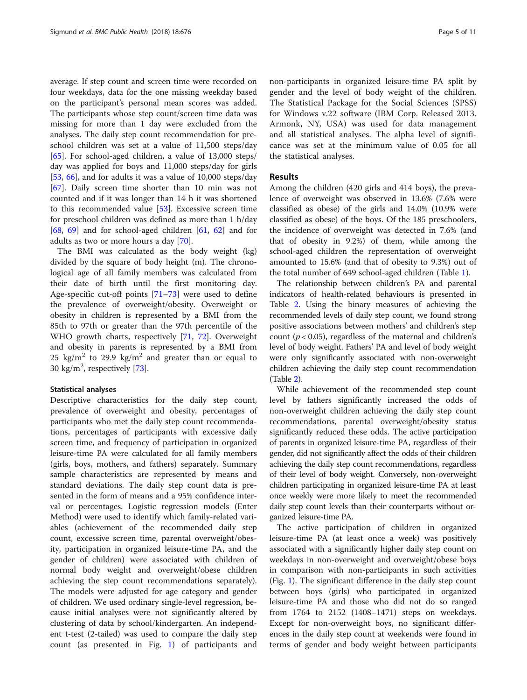average. If step count and screen time were recorded on four weekdays, data for the one missing weekday based on the participant's personal mean scores was added. The participants whose step count/screen time data was missing for more than 1 day were excluded from the analyses. The daily step count recommendation for preschool children was set at a value of 11,500 steps/day [[65\]](#page-10-0). For school-aged children, a value of  $13,000$  steps/ day was applied for boys and 11,000 steps/day for girls [[53,](#page-10-0) [66\]](#page-10-0), and for adults it was a value of 10,000 steps/day [[67\]](#page-10-0). Daily screen time shorter than 10 min was not counted and if it was longer than 14 h it was shortened to this recommended value [\[53\]](#page-10-0). Excessive screen time for preschool children was defined as more than 1 h/day [[68,](#page-10-0) [69](#page-10-0)] and for school-aged children  $[61, 62]$  $[61, 62]$  $[61, 62]$  $[61, 62]$  $[61, 62]$  and for adults as two or more hours a day [\[70\]](#page-10-0).

The BMI was calculated as the body weight (kg) divided by the square of body height (m). The chronological age of all family members was calculated from their date of birth until the first monitoring day. Age-specific cut-off points [\[71](#page-10-0)–[73\]](#page-10-0) were used to define the prevalence of overweight/obesity. Overweight or obesity in children is represented by a BMI from the 85th to 97th or greater than the 97th percentile of the WHO growth charts, respectively [[71,](#page-10-0) [72](#page-10-0)]. Overweight and obesity in parents is represented by a BMI from 25 kg/m<sup>2</sup> to 29.9 kg/m<sup>2</sup> and greater than or equal to 30 kg/m<sup>2</sup>, respectively [\[73](#page-10-0)].

### Statistical analyses

Descriptive characteristics for the daily step count, prevalence of overweight and obesity, percentages of participants who met the daily step count recommendations, percentages of participants with excessive daily screen time, and frequency of participation in organized leisure-time PA were calculated for all family members (girls, boys, mothers, and fathers) separately. Summary sample characteristics are represented by means and standard deviations. The daily step count data is presented in the form of means and a 95% confidence interval or percentages. Logistic regression models (Enter Method) were used to identify which family-related variables (achievement of the recommended daily step count, excessive screen time, parental overweight/obesity, participation in organized leisure-time PA, and the gender of children) were associated with children of normal body weight and overweight/obese children achieving the step count recommendations separately). The models were adjusted for age category and gender of children. We used ordinary single-level regression, because initial analyses were not significantly altered by clustering of data by school/kindergarten. An independent t-test (2-tailed) was used to compare the daily step count (as presented in Fig. [1\)](#page-5-0) of participants and non-participants in organized leisure-time PA split by gender and the level of body weight of the children. The Statistical Package for the Social Sciences (SPSS) for Windows v.22 software (IBM Corp. Released 2013. Armonk, NY, USA) was used for data management and all statistical analyses. The alpha level of significance was set at the minimum value of 0.05 for all the statistical analyses.

# Results

Among the children (420 girls and 414 boys), the prevalence of overweight was observed in 13.6% (7.6% were classified as obese) of the girls and 14.0% (10.9% were classified as obese) of the boys. Of the 185 preschoolers, the incidence of overweight was detected in 7.6% (and that of obesity in 9.2%) of them, while among the school-aged children the representation of overweight amounted to 15.6% (and that of obesity to 9.3%) out of the total number of 649 school-aged children (Table [1\)](#page-3-0).

The relationship between children's PA and parental indicators of health-related behaviours is presented in Table [2](#page-6-0). Using the binary measures of achieving the recommended levels of daily step count, we found strong positive associations between mothers' and children's step count ( $p < 0.05$ ), regardless of the maternal and children's level of body weight. Fathers' PA and level of body weight were only significantly associated with non-overweight children achieving the daily step count recommendation (Table [2\)](#page-6-0).

While achievement of the recommended step count level by fathers significantly increased the odds of non-overweight children achieving the daily step count recommendations, parental overweight/obesity status significantly reduced these odds. The active participation of parents in organized leisure-time PA, regardless of their gender, did not significantly affect the odds of their children achieving the daily step count recommendations, regardless of their level of body weight. Conversely, non-overweight children participating in organized leisure-time PA at least once weekly were more likely to meet the recommended daily step count levels than their counterparts without organized leisure-time PA.

The active participation of children in organized leisure-time PA (at least once a week) was positively associated with a significantly higher daily step count on weekdays in non-overweight and overweight/obese boys in comparison with non-participants in such activities (Fig. [1](#page-5-0)). The significant difference in the daily step count between boys (girls) who participated in organized leisure-time PA and those who did not do so ranged from 1764 to 2152 (1408–1471) steps on weekdays. Except for non-overweight boys, no significant differences in the daily step count at weekends were found in terms of gender and body weight between participants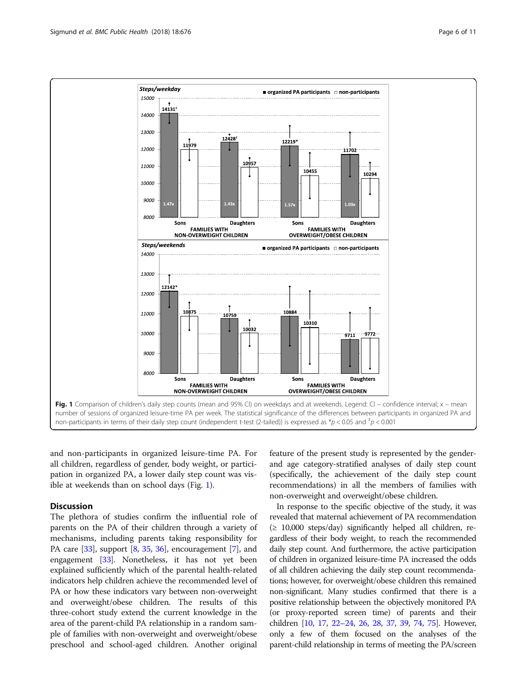<span id="page-5-0"></span>

and non-participants in organized leisure-time PA. For all children, regardless of gender, body weight, or participation in organized PA, a lower daily step count was visible at weekends than on school days (Fig. 1).

# **Discussion**

The plethora of studies confirm the influential role of parents on the PA of their children through a variety of mechanisms, including parents taking responsibility for PA care [[33](#page-9-0)], support [\[8](#page-9-0), [35](#page-9-0), [36](#page-9-0)], encouragement [\[7](#page-9-0)], and engagement [[33](#page-9-0)]. Nonetheless, it has not yet been explained sufficiently which of the parental health-related indicators help children achieve the recommended level of PA or how these indicators vary between non-overweight and overweight/obese children. The results of this three-cohort study extend the current knowledge in the area of the parent-child PA relationship in a random sample of families with non-overweight and overweight/obese preschool and school-aged children. Another original

feature of the present study is represented by the genderand age category-stratified analyses of daily step count (specifically, the achievement of the daily step count recommendations) in all the members of families with non-overweight and overweight/obese children.

In response to the specific objective of the study, it was revealed that maternal achievement of PA recommendation  $(≥ 10,000$  steps/day) significantly helped all children, regardless of their body weight, to reach the recommended daily step count. And furthermore, the active participation of children in organized leisure-time PA increased the odds of all children achieving the daily step count recommendations; however, for overweight/obese children this remained non-significant. Many studies confirmed that there is a positive relationship between the objectively monitored PA (or proxy-reported screen time) of parents and their children [\[10](#page-9-0), [17,](#page-9-0) [22](#page-9-0)–[24,](#page-9-0) [26](#page-9-0), [28,](#page-9-0) [37](#page-9-0), [39,](#page-10-0) [74](#page-10-0), [75\]](#page-10-0). However, only a few of them focused on the analyses of the parent-child relationship in terms of meeting the PA/screen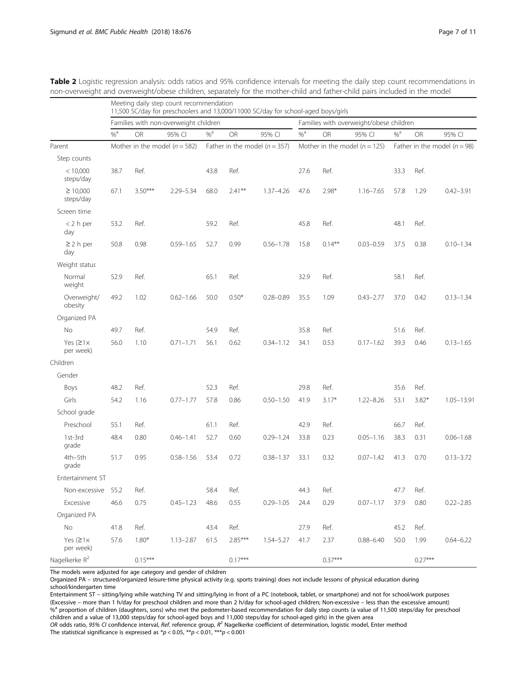|                              | Meeting daily step count recommendation<br>11,500 SC/day for preschoolers and 13,000/11000 SC/day for school-aged boys/girls |                                   |                                       |                                   |           |                                   |                                         |                                  |               |                   |           |               |
|------------------------------|------------------------------------------------------------------------------------------------------------------------------|-----------------------------------|---------------------------------------|-----------------------------------|-----------|-----------------------------------|-----------------------------------------|----------------------------------|---------------|-------------------|-----------|---------------|
|                              |                                                                                                                              |                                   | Families with non-overweight children |                                   |           |                                   | Families with overweight/obese children |                                  |               |                   |           |               |
|                              | $%$ <sup>a</sup>                                                                                                             | <b>OR</b>                         | 95% CI                                | $\%$ <sup>a</sup>                 | <b>OR</b> | 95% CI                            | $%$ <sup>a</sup>                        | <b>OR</b>                        | 95% CI        | $\%$ <sup>a</sup> | OR        | 95% CI        |
| Parent                       |                                                                                                                              | Mother in the model ( $n = 582$ ) |                                       | Father in the model ( $n = 357$ ) |           | Mother in the model ( $n = 125$ ) |                                         | Father in the model ( $n = 98$ ) |               |                   |           |               |
| Step counts                  |                                                                                                                              |                                   |                                       |                                   |           |                                   |                                         |                                  |               |                   |           |               |
| < 10,000<br>steps/day        | 38.7                                                                                                                         | Ref.                              |                                       | 43.8                              | Ref.      |                                   | 27.6                                    | Ref.                             |               | 33.3              | Ref.      |               |
| $\geq 10,000$<br>steps/day   | 67.1                                                                                                                         | $3.50***$                         | $2.29 - 5.34$                         | 68.0                              | $2.41***$ | $1.37 - 4.26$                     | 47.6                                    | $2.98*$                          | $1.16 - 7.65$ | 57.8              | 1.29      | $0.42 - 3.91$ |
| Screen time                  |                                                                                                                              |                                   |                                       |                                   |           |                                   |                                         |                                  |               |                   |           |               |
| $<$ 2 h per<br>day           | 53.2                                                                                                                         | Ref.                              |                                       | 59.2                              | Ref.      |                                   | 45.8                                    | Ref.                             |               | 48.1              | Ref.      |               |
| $\geq$ 2 h per<br>day        | 50.8                                                                                                                         | 0.98                              | $0.59 - 1.65$                         | 52.7                              | 0.99      | $0.56 - 1.78$                     | 15.8                                    | $0.14***$                        | $0.03 - 0.59$ | 37.5              | 0.38      | $0.10 - 1.34$ |
| Weight status                |                                                                                                                              |                                   |                                       |                                   |           |                                   |                                         |                                  |               |                   |           |               |
| Normal<br>weight             | 52.9                                                                                                                         | Ref.                              |                                       | 65.1                              | Ref.      |                                   | 32.9                                    | Ref.                             |               | 58.1              | Ref.      |               |
| Overweight/<br>obesity       | 49.2                                                                                                                         | 1.02                              | $0.62 - 1.66$                         | 50.0                              | $0.50*$   | $0.28 - 0.89$                     | 35.5                                    | 1.09                             | $0.43 - 2.77$ | 37.0              | 0.42      | $0.13 - 1.34$ |
| Organized PA                 |                                                                                                                              |                                   |                                       |                                   |           |                                   |                                         |                                  |               |                   |           |               |
| No                           | 49.7                                                                                                                         | Ref.                              |                                       | 54.9                              | Ref.      |                                   | 35.8                                    | Ref.                             |               | 51.6              | Ref.      |               |
| Yes $(21x)$<br>per week)     | 56.0                                                                                                                         | 1.10                              | $0.71 - 1.71$                         | 56.1                              | 0.62      | $0.34 - 1.12$                     | 34.1                                    | 0.53                             | $0.17 - 1.62$ | 39.3              | 0.46      | $0.13 - 1.65$ |
| Children                     |                                                                                                                              |                                   |                                       |                                   |           |                                   |                                         |                                  |               |                   |           |               |
| Gender                       |                                                                                                                              |                                   |                                       |                                   |           |                                   |                                         |                                  |               |                   |           |               |
| Boys                         | 48.2                                                                                                                         | Ref.                              |                                       | 52.3                              | Ref.      |                                   | 29.8                                    | Ref.                             |               | 35.6              | Ref.      |               |
| Girls                        | 54.2                                                                                                                         | 1.16                              | $0.77 - 1.77$                         | 57.8                              | 0.86      | $0.50 - 1.50$                     | 41.9                                    | $3.17*$                          | $1.22 - 8.26$ | 53.1              | $3.82*$   | 1.05-13.91    |
| School grade                 |                                                                                                                              |                                   |                                       |                                   |           |                                   |                                         |                                  |               |                   |           |               |
| Preschool                    | 55.1                                                                                                                         | Ref.                              |                                       | 61.1                              | Ref.      |                                   | 42.9                                    | Ref.                             |               | 66.7              | Ref.      |               |
| 1st-3rd<br>grade             | 48.4                                                                                                                         | 0.80                              | $0.46 - 1.41$                         | 52.7                              | 0.60      | $0.29 - 1.24$                     | 33.8                                    | 0.23                             | $0.05 - 1.16$ | 38.3              | 0.31      | $0.06 - 1.68$ |
| 4th-5th<br>grade             | 51.7                                                                                                                         | 0.95                              | $0.58 - 1.56$                         | 53.4                              | 0.72      | $0.38 - 1.37$                     | 33.1                                    | 0.32                             | $0.07 - 1.42$ | 41.3              | 0.70      | $0.13 - 3.72$ |
| Entertainment ST             |                                                                                                                              |                                   |                                       |                                   |           |                                   |                                         |                                  |               |                   |           |               |
| Non-excessive 55.2           |                                                                                                                              | Ref.                              |                                       | 58.4                              | Ref.      |                                   | 44.3                                    | Ref.                             |               | 47.7              | Ref.      |               |
| Excessive                    | 46.6                                                                                                                         | 0.75                              | $0.45 - 1.23$                         | 48.6                              | 0.55      | $0.29 - 1.05$                     | 24.4                                    | 0.29                             | $0.07 - 1.17$ | 37.9              | 0.80      | $0.22 - 2.85$ |
| Organized PA                 |                                                                                                                              |                                   |                                       |                                   |           |                                   |                                         |                                  |               |                   |           |               |
| No                           | 41.8                                                                                                                         | Ref.                              |                                       | 43.4                              | Ref.      |                                   | 27.9                                    | Ref.                             |               | 45.2              | Ref.      |               |
| Yes $(21\times$<br>per week) | 57.6                                                                                                                         | $1.80*$                           | $1.13 - 2.87$                         | 61.5                              | $2.85***$ | $1.54 - 5.27$                     | 41.7                                    | 2.37                             | $0.88 - 6.40$ | 50.0              | 1.99      | $0.64 - 6.22$ |
| Nagelkerke R <sup>2</sup>    |                                                                                                                              | $0.15***$                         |                                       |                                   | $0.17***$ |                                   |                                         | $0.37***$                        |               |                   | $0.27***$ |               |

<span id="page-6-0"></span>Table 2 Logistic regression analysis: odds ratios and 95% confidence intervals for meeting the daily step count recommendations in non-overweight and overweight/obese children, separately for the mother-child and father-child pairs included in the model

The models were adjusted for age category and gender of children

Organized PA – structured/organized leisure-time physical activity (e.g. sports training) does not include lessons of physical education during school/kindergarten time

Entertainment ST – sitting/lying while watching TV and sitting/lying in front of a PC (notebook, tablet, or smartphone) and not for school/work purposes (Excessive – more than 1 h/day for preschool children and more than 2 h/day for school-aged children; Non-excessive – less than the excessive amount) %<sup>a</sup> proportion of children (daughters, sons) who met the pedometer-based recommendation for daily step counts (a value of 11,500 steps/day for preschool children and a value of 13,000 steps/day for school-aged boys and 11,000 steps/day for school-aged girls) in the given area

OR odds ratio, 95% CI confidence interval, Ref. reference group,  $R^2$  Nagelkerke coefficient of determination, logistic model, Enter method The statistical significance is expressed as  $p < 0.05$ ,  $\frac{p}{p} < 0.01$ ,  $\frac{p}{p} < 0.001$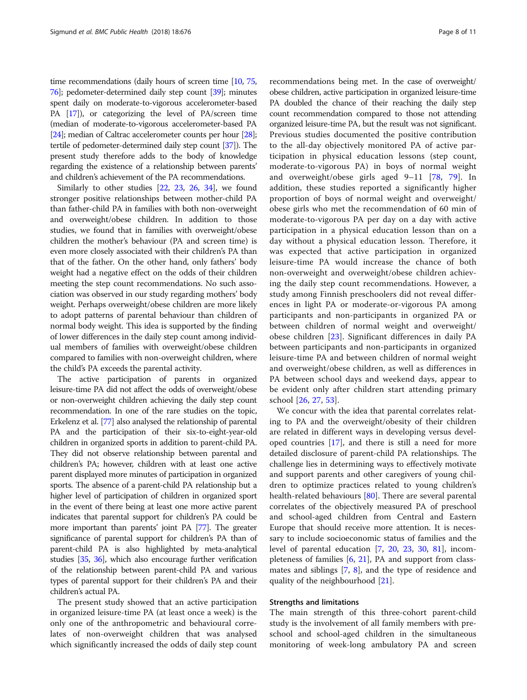time recommendations (daily hours of screen time [\[10,](#page-9-0) [75](#page-10-0), [76](#page-10-0)]; pedometer-determined daily step count [\[39\]](#page-10-0); minutes spent daily on moderate-to-vigorous accelerometer-based PA [[17](#page-9-0)]), or categorizing the level of PA/screen time (median of moderate-to-vigorous accelerometer-based PA [[24](#page-9-0)]; median of Caltrac accelerometer counts per hour [\[28](#page-9-0)]; tertile of pedometer-determined daily step count [\[37\]](#page-9-0)). The present study therefore adds to the body of knowledge regarding the existence of a relationship between parents' and children's achievement of the PA recommendations.

Similarly to other studies [\[22,](#page-9-0) [23,](#page-9-0) [26,](#page-9-0) [34](#page-9-0)], we found stronger positive relationships between mother-child PA than father-child PA in families with both non-overweight and overweight/obese children. In addition to those studies, we found that in families with overweight/obese children the mother's behaviour (PA and screen time) is even more closely associated with their children's PA than that of the father. On the other hand, only fathers' body weight had a negative effect on the odds of their children meeting the step count recommendations. No such association was observed in our study regarding mothers' body weight. Perhaps overweight/obese children are more likely to adopt patterns of parental behaviour than children of normal body weight. This idea is supported by the finding of lower differences in the daily step count among individual members of families with overweight/obese children compared to families with non-overweight children, where the child's PA exceeds the parental activity.

The active participation of parents in organized leisure-time PA did not affect the odds of overweight/obese or non-overweight children achieving the daily step count recommendation. In one of the rare studies on the topic, Erkelenz et al. [[77](#page-10-0)] also analysed the relationship of parental PA and the participation of their six-to-eight-year-old children in organized sports in addition to parent-child PA. They did not observe relationship between parental and children's PA; however, children with at least one active parent displayed more minutes of participation in organized sports. The absence of a parent-child PA relationship but a higher level of participation of children in organized sport in the event of there being at least one more active parent indicates that parental support for children's PA could be more important than parents' joint PA [\[77\]](#page-10-0). The greater significance of parental support for children's PA than of parent-child PA is also highlighted by meta-analytical studies [[35](#page-9-0), [36\]](#page-9-0), which also encourage further verification of the relationship between parent-child PA and various types of parental support for their children's PA and their children's actual PA.

The present study showed that an active participation in organized leisure-time PA (at least once a week) is the only one of the anthropometric and behavioural correlates of non-overweight children that was analysed which significantly increased the odds of daily step count recommendations being met. In the case of overweight/ obese children, active participation in organized leisure-time PA doubled the chance of their reaching the daily step count recommendation compared to those not attending organized leisure-time PA, but the result was not significant. Previous studies documented the positive contribution to the all-day objectively monitored PA of active participation in physical education lessons (step count, moderate-to-vigorous PA) in boys of normal weight and overweight/obese girls aged 9–11 [\[78](#page-10-0), [79](#page-10-0)]. In addition, these studies reported a significantly higher proportion of boys of normal weight and overweight/ obese girls who met the recommendation of 60 min of moderate-to-vigorous PA per day on a day with active participation in a physical education lesson than on a day without a physical education lesson. Therefore, it was expected that active participation in organized leisure-time PA would increase the chance of both non-overweight and overweight/obese children achieving the daily step count recommendations. However, a study among Finnish preschoolers did not reveal differences in light PA or moderate-or-vigorous PA among participants and non-participants in organized PA or between children of normal weight and overweight/ obese children [[23\]](#page-9-0). Significant differences in daily PA between participants and non-participants in organized leisure-time PA and between children of normal weight and overweight/obese children, as well as differences in PA between school days and weekend days, appear to be evident only after children start attending primary school [[26,](#page-9-0) [27,](#page-9-0) [53](#page-10-0)].

We concur with the idea that parental correlates relating to PA and the overweight/obesity of their children are related in different ways in developing versus developed countries [\[17](#page-9-0)], and there is still a need for more detailed disclosure of parent-child PA relationships. The challenge lies in determining ways to effectively motivate and support parents and other caregivers of young children to optimize practices related to young children's health-related behaviours [\[80](#page-10-0)]. There are several parental correlates of the objectively measured PA of preschool and school-aged children from Central and Eastern Europe that should receive more attention. It is necessary to include socioeconomic status of families and the level of parental education [[7,](#page-9-0) [20,](#page-9-0) [23,](#page-9-0) [30](#page-9-0), [81](#page-10-0)], incom-pleteness of families [[6,](#page-9-0) [21\]](#page-9-0), PA and support from classmates and siblings [[7,](#page-9-0) [8](#page-9-0)], and the type of residence and quality of the neighbourhood [[21](#page-9-0)].

# Strengths and limitations

The main strength of this three-cohort parent-child study is the involvement of all family members with preschool and school-aged children in the simultaneous monitoring of week-long ambulatory PA and screen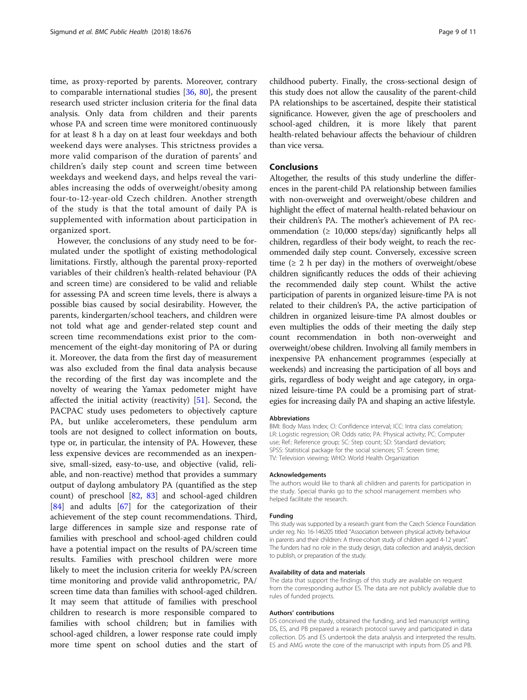time, as proxy-reported by parents. Moreover, contrary to comparable international studies [\[36,](#page-9-0) [80](#page-10-0)], the present research used stricter inclusion criteria for the final data analysis. Only data from children and their parents whose PA and screen time were monitored continuously for at least 8 h a day on at least four weekdays and both weekend days were analyses. This strictness provides a more valid comparison of the duration of parents' and children's daily step count and screen time between weekdays and weekend days, and helps reveal the variables increasing the odds of overweight/obesity among four-to-12-year-old Czech children. Another strength of the study is that the total amount of daily PA is supplemented with information about participation in organized sport.

However, the conclusions of any study need to be formulated under the spotlight of existing methodological limitations. Firstly, although the parental proxy-reported variables of their children's health-related behaviour (PA and screen time) are considered to be valid and reliable for assessing PA and screen time levels, there is always a possible bias caused by social desirability. However, the parents, kindergarten/school teachers, and children were not told what age and gender-related step count and screen time recommendations exist prior to the commencement of the eight-day monitoring of PA or during it. Moreover, the data from the first day of measurement was also excluded from the final data analysis because the recording of the first day was incomplete and the novelty of wearing the Yamax pedometer might have affected the initial activity (reactivity) [\[51\]](#page-10-0). Second, the PACPAC study uses pedometers to objectively capture PA, but unlike accelerometers, these pendulum arm tools are not designed to collect information on bouts, type or, in particular, the intensity of PA. However, these less expensive devices are recommended as an inexpensive, small-sized, easy-to-use, and objective (valid, reliable, and non-reactive) method that provides a summary output of daylong ambulatory PA (quantified as the step count) of preschool [[82,](#page-10-0) [83](#page-10-0)] and school-aged children [[84\]](#page-10-0) and adults [\[67](#page-10-0)] for the categorization of their achievement of the step count recommendations. Third, large differences in sample size and response rate of families with preschool and school-aged children could have a potential impact on the results of PA/screen time results. Families with preschool children were more likely to meet the inclusion criteria for weekly PA/screen time monitoring and provide valid anthropometric, PA/ screen time data than families with school-aged children. It may seem that attitude of families with preschool children to research is more responsible compared to families with school children; but in families with school-aged children, a lower response rate could imply more time spent on school duties and the start of childhood puberty. Finally, the cross-sectional design of this study does not allow the causality of the parent-child PA relationships to be ascertained, despite their statistical significance. However, given the age of preschoolers and school-aged children, it is more likely that parent health-related behaviour affects the behaviour of children than vice versa.

# Conclusions

Altogether, the results of this study underline the differences in the parent-child PA relationship between families with non-overweight and overweight/obese children and highlight the effect of maternal health-related behaviour on their children's PA. The mother's achievement of PA recommendation (≥ 10,000 steps/day) significantly helps all children, regardless of their body weight, to reach the recommended daily step count. Conversely, excessive screen time  $(≥ 2 h per day)$  in the mothers of overweight/obese children significantly reduces the odds of their achieving the recommended daily step count. Whilst the active participation of parents in organized leisure-time PA is not related to their children's PA, the active participation of children in organized leisure-time PA almost doubles or even multiplies the odds of their meeting the daily step count recommendation in both non-overweight and overweight/obese children. Involving all family members in inexpensive PA enhancement programmes (especially at weekends) and increasing the participation of all boys and girls, regardless of body weight and age category, in organized leisure-time PA could be a promising part of strategies for increasing daily PA and shaping an active lifestyle.

### **Abbreviations**

BMI: Body Mass Index; CI: Confidence interval; ICC: Intra class correlation; LR: Logistic regression; OR: Odds ratio; PA: Physical activity; PC: Computer use; Ref.: Reference group; SC: Step count; SD: Standard deviation; SPSS: Statistical package for the social sciences; ST: Screen time; TV: Television viewing; WHO: World Health Organization

#### Acknowledgements

The authors would like to thank all children and parents for participation in the study. Special thanks go to the school management members who helped facilitate the research.

### Funding

This study was supported by a research grant from the Czech Science Foundation under reg. No. 16-14620S titled "Association between physical activity behaviour in parents and their children: A three-cohort study of children aged 4-12 years". The funders had no role in the study design, data collection and analysis, decision to publish, or preparation of the study.

### Availability of data and materials

The data that support the findings of this study are available on request from the corresponding author ES. The data are not publicly available due to rules of funded projects.

### Authors' contributions

DS conceived the study, obtained the funding, and led manuscript writing. DS, ES, and PB prepared a research protocol survey and participated in data collection. DS and ES undertook the data analysis and interpreted the results. ES and AMG wrote the core of the manuscript with inputs from DS and PB.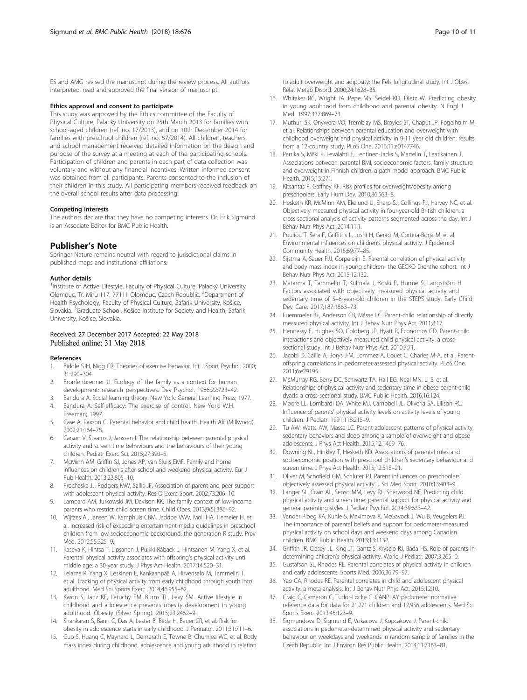<span id="page-9-0"></span>ES and AMG revised the manuscript during the review process. All authors interpreted, read and approved the final version of manuscript.

### Ethics approval and consent to participate

This study was approved by the Ethics committee of the Faculty of Physical Culture, Palacký University on 25th March 2013 for families with school-aged children (ref. no. 17/2013), and on 10th December 2014 for families with preschool children (ref. no. 57/2014). All children, teachers, and school management received detailed information on the design and purpose of the survey at a meeting at each of the participating schools. Participation of children and parents in each part of data collection was voluntary and without any financial incentives. Written informed consent was obtained from all participants. Parents consented to the inclusion of their children in this study. All participating members received feedback on the overall school results after data processing.

### Competing interests

The authors declare that they have no competing interests. Dr. Erik Sigmund is an Associate Editor for BMC Public Health.

## Publisher's Note

Springer Nature remains neutral with regard to jurisdictional claims in published maps and institutional affiliations.

### Author details

<sup>1</sup>Institute of Active Lifestyle, Faculty of Physical Culture, Palacký University Olomouc, Tr. Miru 117, 77111 Olomouc, Czech Republic. <sup>2</sup>Department of Health Psychology, Faculty of Physical Culture, Safarik University, Košice, Slovakia. <sup>3</sup>Graduate School, Košice Institute for Society and Health, Safarik University, Košice, Slovakia.

# Received: 27 December 2017 Accepted: 22 May 2018 Published online: 31 May 2018

### References

- 1. Biddle SJH, Nigg CR. Theories of exercise behavior. Int J Sport Psychol. 2000; 31:290–304.
- 2. Bronfenbrenner U. Ecology of the family as a context for human development: research perspectives. Dev Psychol. 1986;22:723–42.
- 3. Bandura A. Social learning theory. New York: General Learning Press; 1977.
- 4. Bandura A. Self-efficacy: The exercise of control. New York: W.H. Freeman; 1997.
- 5. Case A, Paxson C. Parental behavior and child health. Health Aff (Millwood). 2002;21:164–78.
- 6. Carson V, Stearns J, Janssen I. The relationship between parental physical activity and screen time behaviours and the behaviours of their young children. Pediatr Exerc Sci. 2015;27:390–5.
- 7. McMinn AM, Griffin SJ, Jones AP, van Sluijs EMF. Family and home influences on children's after-school and weekend physical activity. Eur J Pub Health. 2013;23:805–10.
- 8. Prochaska JJ, Rodgers MW, Sallis JF. Association of parent and peer support with adolescent physical activity. Res Q Exerc Sport. 2002;73:206–10.
- 9. Lampard AM, Jurkowski JM, Davison KK. The family context of low-income parents who restrict child screen time. Child Obes. 2013;9(5):386–92.
- 10. Wijtzes AI, Jansen W, Kamphuis CBM, Jaddoe VWV, Moll HA, Tiemeier H, et al. Increased risk of exceeding entertainment-media guidelines in preschool children from low socioeconomic background: the generation R study. Prev Med. 2012;55:325–9.
- 11. Kaseva K, Hintsa T, Lipsanen J, Pulkki-Råback L, Hintsanen M, Yang X, et al. Parental physical activity associates with offspring's physical activity until middle age: a 30-year study. J Phys Act Health. 2017;14:520–31.
- 12. Telama R, Yang X, Leskinen E, Kankaanpää A, Hirvensalo M, Tammelin T, et al. Tracking of physical activity from early childhood through youth into adulthood. Med Sci Sports Exerc. 2014;46:955–62.
- 13. Kwon S, Janz KF, Letuchy EM, Burns TL, Levy SM. Active lifestyle in childhood and adolescence prevents obesity development in young adulthood. Obesity (Silver Spring). 2015;23:2462–9.
- 14. Shankaran S, Bann C, Das A, Lester B, Bada H, Bauer CR, et al. Risk for obesity in adolescence starts in early childhood. J Perinatol. 2011;31:711–6.
- 15. Guo S, Huang C, Maynard L, Demerath E, Towne B, Chumlea WC, et al. Body mass index during childhood, adolescence and young adulthood in relation

to adult overweight and adiposity: the Fels longitudinal study. Int J Obes Relat Metab Disord. 2000;24:1628–35.

- 16. Whitaker RC, Wright JA, Pepe MS, Seidel KD, Dietz W. Predicting obesity in young adulthood from childhood and parental obesity. N Engl J Med. 1997;337:869–73.
- 17. Muthuri SK, Onywera VO, Tremblay MS, Broyles ST, Chaput JP, Fogelholm M, et al. Relationships between parental education and overweight with childhood overweight and physical activity in 9-11 year old children: results from a 12-country study. PLoS One. 2016;11:e0147746.
- 18. Parrika S, Mäki P, Levälahti E, Lehtinen-Jacks S, Martelin T, Laatikainen T. Associations between parental BMI, socioeconomic factors, family structure and overweight in Finnish children: a path model approach. BMC Public Health. 2015;15:271.
- 19. Kitsantas P, Gaffney KF. Risk profiles for overweight/obesity among preschoolers. Early Hum Dev. 2010;86:563–8.
- 20. Hesketh KR, McMinn AM, Ekelund U, Sharp SJ, Collings PJ, Harvey NC, et al. Objectively measured physical activity in four-year-old British children: a cross-sectional analysis of activity patterns segmented across the day. Int J Behav Nutr Phys Act. 2014;11:1.
- 21. Pouliou T, Sera F, Griffiths L, Joshi H, Geraci M, Cortina-Borja M, et al. Environmental influences on children's physical activity. J Epidemiol Community Health. 2015;69:77–85.
- 22. Sijstma A, Sauer PJJ, Corpeleijn E. Parental correlation of physical activity and body mass index in young children- the GECKO Drenthe cohort. Int J Behav Nutr Phys Act. 2015;12:132.
- 23. Matarma T, Tammelin T, Kulmala J, Koski P, Hurme S, Langström H. Factors associated with objectively measured physical activity and sedentary time of 5–6-year-old children in the STEPS study. Early Child Dev Care. 2017;187:1863–73.
- 24. Fuemmeler BF, Anderson CB, Mâsse LC. Parent-child relationship of directly measured physical activity. Int J Behav Nutr Phys Act. 2011;8:17.
- 25. Hennessy E, Hughes SO, Goldberg JP, Hyatt R, Economos CD. Parent-child interactions and objectively measured child physical activity: a crosssectional study. Int J Behav Nutr Phys Act. 2010;7:71.
- 26. Jacobi D, Caille A, Borys J-M, Lommez A, Couet C, Charles M-A, et al. Parentoffspring correlations in pedometer-assessed physical activity. PLoS One. 2011;6:e29195.
- 27. McMurray RG, Berry DC, Schwartz TA, Hall EG, Neal MN, Li S, et al. Relationships of physical activity and sedentary time in obese parent-child dyads: a cross-sectional study. BMC Public Health. 2016;16:124.
- 28. Moore LL, Lombardi DA, White MJ, Campbell JL, Oliveria SA, Ellison RC. Influence of parents' physical activity levels on activity levels of young children. J Pediatr. 1991;118:215–9.
- 29. Tu AW, Watts AW, Masse LC. Parent-adolescent patterns of physical activity, sedentary behaviors and sleep among a sample of overweight and obese adolescents. J Phys Act Health. 2015;12:1469–76.
- 30. Downing KL, Hinkley T, Hesketh KD. Associations of parental rules and socioeconomic position with preschool children's sedentary behaviour and screen time. J Phys Act Health. 2015;12:515–21.
- 31. Oliver M, Schofield GM, Schluter PJ. Parent influences on preschoolers' objectively assessed physical activity. J Sci Med Sport. 2010;13:403–9.
- 32. Langer SL, Crain AL, Senso MM, Levy RL, Sherwood NE. Predicting child physical activity and screen time: parental support for physical activity and general parenting styles. J Pediatr Psychol. 2014;39:633–42.
- 33. Vander Ploeg KA, Kuhle S, Maximova K, McGavock J, Wu B, Veugelers PJ. The importance of parental beliefs and support for pedometer-measured physical activity on school days and weekend days among Canadian children. BMC Public Health. 2013;13:1132.
- 34. Griffith JR, Clasey JL, King JT, Gantz S, Kryscio RJ, Bada HS. Role of parents in determining children's physical activity. World J Pediatr. 2007;3:265–0.
- 35. Gustafson SL, Rhodes RE. Parental correlates of physical activity in children and early adolescents. Sports Med. 2006;36:79–97.
- 36. Yao CA, Rhodes RE. Parental correlates in child and adolescent physical activity: a meta-analysis. Int J Behav Nutr Phys Act. 2015;12:10.
- 37. Craig C, Cameron C, Tudor-Locke C. CANPLAY pedometer normative reference data for data for 21,271 children and 12,956 adolescents. Med Sci Sports Exerc. 2013;45:123–9.
- 38. Sigmundova D, Sigmund E, Vokacova J, Kopcakova J. Parent-child associations in pedometer-determined physical activity and sedentary behaviour on weekdays and weekends in random sample of families in the Czech Republic. Int J Environ Res Public Health. 2014;11:7163–81.